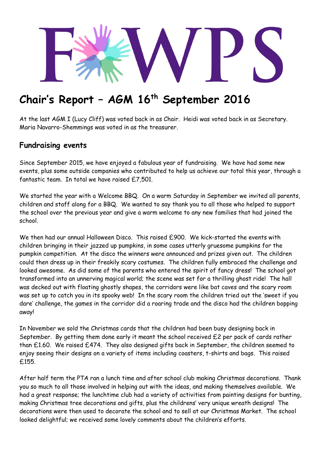

# **Chair's Report – AGM 16th September 2016**

At the last AGM I (Lucy Cliff) was voted back in as Chair. Heidi was voted back in as Secretary. Maria Navarro-Shemmings was voted in as the treasurer.

#### **Fundraising events**

Since September 2015, we have enjoyed a fabulous year of fundraising. We have had some new events, plus some outside companies who contributed to help us achieve our total this year, through a fantastic team. In total we have raised £7,501.

We started the year with a Welcome BBQ. On a warm Saturday in September we invited all parents, children and staff along for a BBQ. We wanted to say thank you to all those who helped to support the school over the previous year and give a warm welcome to any new families that had joined the school.

We then had our annual Halloween Disco. This raised £900. We kick-started the events with children bringing in their jazzed up pumpkins, in some cases utterly gruesome pumpkins for the pumpkin competition. At the disco the winners were announced and prizes given out. The children could then dress up in their freakily scary costumes. The children fully embraced the challenge and looked awesome. As did some of the parents who entered the spirit of fancy dress! The school got transformed into an unnerving magical world; the scene was set for a thrilling ghost ride! The hall was decked out with floating ghostly shapes, the corridors were like bat caves and the scary room was set up to catch you in its spooky web! In the scary room the children tried out the 'sweet if you dare' challenge, the games in the corridor did a roaring trade and the disco had the children bopping away!

In November we sold the Christmas cards that the children had been busy designing back in September. By getting them done early it meant the school received £2 per pack of cards rather than £1.60. We raised £474. They also designed gifts back in September, the children seemed to enjoy seeing their designs on a variety of items including coasters, t-shirts and bags. This raised £155.

After half term the PTA ran a lunch time and after school club making Christmas decorations. Thank you so much to all those involved in helping out with the ideas, and making themselves available. We had a great response; the lunchtime club had a variety of activities from painting designs for bunting, making Christmas tree decorations and gifts, plus the childrens' very unique wreath designs! The decorations were then used to decorate the school and to sell at our Christmas Market. The school looked delightful; we received some lovely comments about the children's efforts.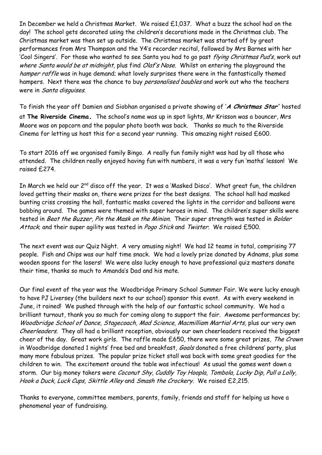In December we held a Christmas Market. We raised £1,037. What a buzz the school had on the day! The school gets decorated using the children's decorations made in the Christmas club. The Christmas market was then set up outside. The Christmas market was started off by great performances from Mrs Thompson and the Y4's recorder recital, followed by Mrs Barnes with her 'Cool Singers'. For those who wanted to see Santa you had to go past flying Christmas Pud's, work out where Santa would be at midnight, plus find Olaf's Nose. Whilst on entering the playground the hamper raffle was in huge demand; what lovely surprises there were in the fantastically themed hampers. Next there was the chance to buy *personalised baubles* and work out who the teachers were in Santa disguises.

To finish the year off Damien and Siobhan organised a private showing of '**A Christmas Star'** hosted

at **The Riverside Cinema.** The school's name was up in spot lights, Mr Krisson was a bouncer, Mrs Moore was on popcorn and the popular photo booth was back. Thanks so much to the Riverside Cinema for letting us host this for a second year running. This amazing night raised £600.

To start 2016 off we organised family Bingo. A really fun family night was had by all those who attended. The children really enjoyed having fun with numbers, it was a very fun 'maths' lesson! We raised £274.

In March we held our 2<sup>nd</sup> disco off the year. It was a 'Masked Disco'. What great fun, the children loved getting their masks on, there were prizes for the best designs. The school hall had masked bunting criss crossing the hall, fantastic masks covered the lights in the corridor and balloons were bobbing around. The games were themed with super heroes in mind. The children's super skills were tested in Beat the Buzzer, Pin the Mask on the Minion. Their super strength was tested in Bolder Attack; and their super agility was tested in Pogo Stick and Twister. We raised £500.

The next event was our Quiz Night. A very amusing night! We had 12 teams in total, comprising 77 people. Fish and Chips was our half time snack. We had a lovely prize donated by Adnams, plus some wooden spoons for the losers! We were also lucky enough to have professional quiz masters donate their time, thanks so much to Amanda's Dad and his mate.

Our final event of the year was the Woodbridge Primary School Summer Fair. We were lucky enough to have PJ Liversey (the builders next to our school) sponsor this event. As with every weekend in June, it rained! We pushed through with the help of our fantastic school community. We had a brilliant turnout, thank you so much for coming along to support the fair. Awesome performances by; Woodbridge School of Dance, Stagecoach, Mad Science, Macmilliam Martial Arts, plus our very own Cheerleaders. They all had a brilliant reception, obviously our own cheerleaders received the biggest cheer of the day. Great work girls. The raffle made £650, there were some great prizes, The Crown in Woodbridge donated 1 nights' free bed and breakfast, Goals donated a free childrens' party, plus many more fabulous prizes. The popular prize ticket stall was back with some great goodies for the children to win. The excitement around the table was infectious! As usual the games went down a storm. Our big money takers were Coconut Shy, Cuddly Toy Hoopla, Tombola, Lucky Dip, Pull a Lolly, Hook a Duck, Luck Cups, Skittle Alley and Smash the Crockery. We raised £2,215.

Thanks to everyone, committee members, parents, family, friends and staff for helping us have a phenomenal year of fundraising.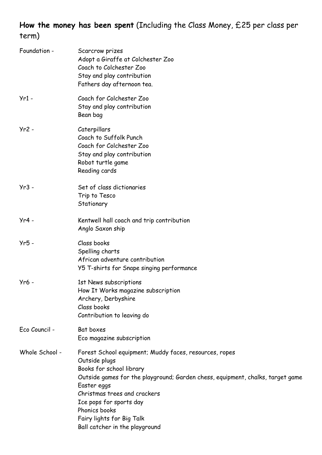**How the money has been spent** (Including the Class Money, £25 per class per term)

| Foundation -   | Scarcrow prizes<br>Adopt a Giraffe at Colchester Zoo<br>Coach to Colchester Zoo<br>Stay and play contribution<br>Fathers day afternoon tea.                                                                                                                                                                                                     |
|----------------|-------------------------------------------------------------------------------------------------------------------------------------------------------------------------------------------------------------------------------------------------------------------------------------------------------------------------------------------------|
| $Yr1 -$        | Coach for Colchester Zoo<br>Stay and play contribution<br>Bean bag                                                                                                                                                                                                                                                                              |
| $Yr2 -$        | Caterpillars<br>Coach to Suffolk Punch<br>Coach for Colchester Zoo<br>Stay and play contribution<br>Robot turtle game<br>Reading cards                                                                                                                                                                                                          |
| $Yr3 -$        | Set of class dictionaries<br>Trip to Tesco<br>Stationary                                                                                                                                                                                                                                                                                        |
| $Yr4 -$        | Kentwell hall coach and trip contribution<br>Anglo Saxon ship                                                                                                                                                                                                                                                                                   |
| $Yr5 -$        | Class books<br>Spelling charts<br>African adventure contribution<br>Y5 T-shirts for Snape singing performance                                                                                                                                                                                                                                   |
| Yr6 -          | 1st News subscriptions<br>How It Works magazine subscription<br>Archery, Derbyshire<br>Class books<br>Contribution to leaving do                                                                                                                                                                                                                |
| Eco Council -  | Bat boxes<br>Eco magazine subscription                                                                                                                                                                                                                                                                                                          |
| Whole School - | Forest School equipment; Muddy faces, resources, ropes<br>Outside plugs<br>Books for school library<br>Outside games for the playground; Garden chess, equipment, chalks, target game<br>Easter eggs<br>Christmas trees and crackers<br>Ice pops for sports day<br>Phonics books<br>Fairy lights for Big Talk<br>Ball catcher in the playground |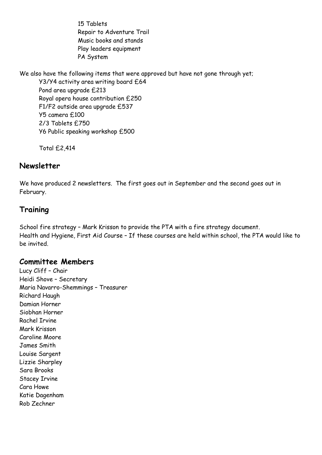15 Tablets Repair to Adventure Trail Music books and stands Play leaders equipment PA System

We also have the following items that were approved but have not gone through yet;

Y3/Y4 activity area writing board £64 Pond area upgrade £213 Royal opera house contribution £250 F1/F2 outside area upgrade £537 Y5 camera £100 2/3 Tablets £750 Y6 Public speaking workshop £500

Total £2,414

#### **Newsletter**

We have produced 2 newsletters. The first goes out in September and the second goes out in February.

## **Training**

School fire strategy – Mark Krisson to provide the PTA with a fire strategy document. Health and Hygiene, First Aid Course – If these courses are held within school, the PTA would like to be invited.

#### **Committee Members**

Lucy Cliff – Chair Heidi Shove – Secretary Maria Navarro-Shemmings – Treasurer Richard Haugh Damian Horner Siobhan Horner Rachel Irvine Mark Krisson Caroline Moore James Smith Louise Sargent Lizzie Sharpley Sara Brooks Stacey Irvine Cara Howe Katie Dagenham Rob Zechner